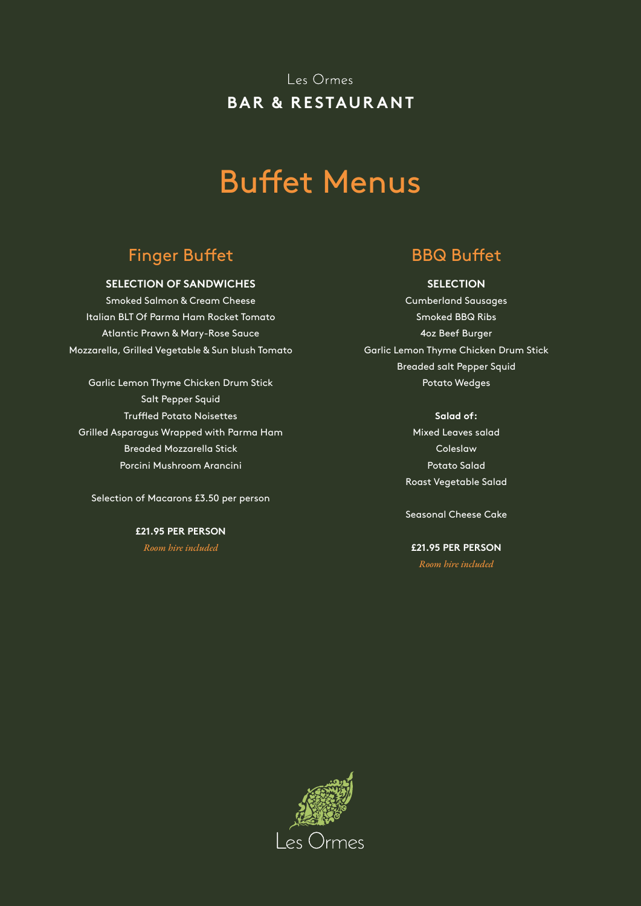# Buffet Menus

## Finger Buffet BBQ Buffet

### **SELECTION OF SANDWICHES**

Smoked Salmon & Cream Cheese Italian BLT Of Parma Ham Rocket Tomato Atlantic Prawn & Mary-Rose Sauce Mozzarella, Grilled Vegetable & Sun blush Tomato

Garlic Lemon Thyme Chicken Drum Stick Salt Pepper Squid Truffled Potato Noisettes Grilled Asparagus Wrapped with Parma Ham Breaded Mozzarella Stick Porcini Mushroom Arancini

Selection of Macarons £3.50 per person

**£21.95 PER PERSON** *Room hire included*

### **SELECTION**

Cumberland Sausages Smoked BBQ Ribs 4oz Beef Burger Garlic Lemon Thyme Chicken Drum Stick Breaded salt Pepper Squid Potato Wedges

> **Salad of:** Mixed Leaves salad Coleslaw Potato Salad

Roast Vegetable Salad

Seasonal Cheese Cake

**£21.95 PER PERSON** *Room hire included*

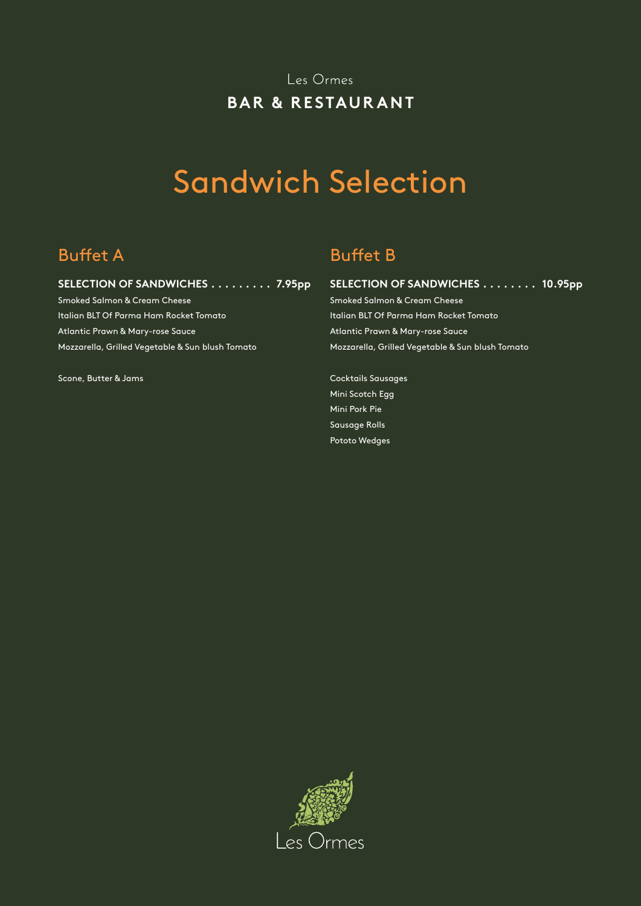# Sandwich Selection

## **SELECTION OF SANDWICHES . . . . . . . . . 7.95pp**

Smoked Salmon & Cream Cheese Italian BLT Of Parma Ham Rocket Tomato Atlantic Prawn & Mary-rose Sauce Mozzarella, Grilled Vegetable & Sun blush Tomato

Scone, Butter & Jams

## Buffet A Buffet B

## **SELECTION OF SANDWICHES . . . . . . . . 10.95pp**

Smoked Salmon & Cream Cheese Italian BLT Of Parma Ham Rocket Tomato Atlantic Prawn & Mary-rose Sauce Mozzarella, Grilled Vegetable & Sun blush Tomato

Cocktails Sausages Mini Scotch Egg Mini Pork Pie Sausage Rolls Pototo Wedges